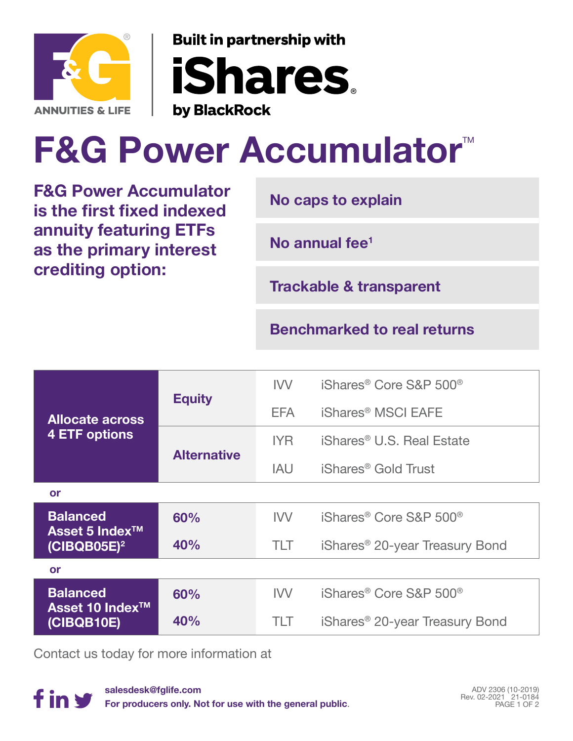

**Built in partnership with iShares** by BlackRock

## **F&G Power Accumulator™**

**F&G Power Accumulator is the first fixed indexed annuity featuring ETFs as the primary interest crediting option:**

**No caps to explain**

**No annual fee1**

**Trackable & transparent**

**Benchmarked to real returns**

| <b>Allocate across</b><br>4 ETF options                         | <b>Equity</b>      | <b>IVV</b> | iShares <sup>®</sup> Core S&P 500 <sup>®</sup> |
|-----------------------------------------------------------------|--------------------|------------|------------------------------------------------|
|                                                                 |                    | EFA        | iShares <sup>®</sup> MSCI EAFE                 |
|                                                                 | <b>Alternative</b> | <b>IYR</b> | iShares <sup>®</sup> U.S. Real Estate          |
|                                                                 |                    | <b>IAU</b> | iShares <sup>®</sup> Gold Trust                |
| or                                                              |                    |            |                                                |
| <b>Balanced</b><br>Asset 5 Index <sup>™</sup><br>$(CIBQB05E)^2$ | 60%                | IVV.       | iShares <sup>®</sup> Core S&P 500 <sup>®</sup> |
|                                                                 | 40%                | <b>TLT</b> | iShares <sup>®</sup> 20-year Treasury Bond     |
| or                                                              |                    |            |                                                |
| <b>Balanced</b><br>Asset 10 Index <sup>™</sup><br>(CIBQB10E)    | 60%                | <b>IVV</b> | iShares <sup>®</sup> Core S&P 500 <sup>®</sup> |
|                                                                 | 40%                | TLT        | iShares <sup>®</sup> 20-year Treasury Bond     |

Contact us today for more information at